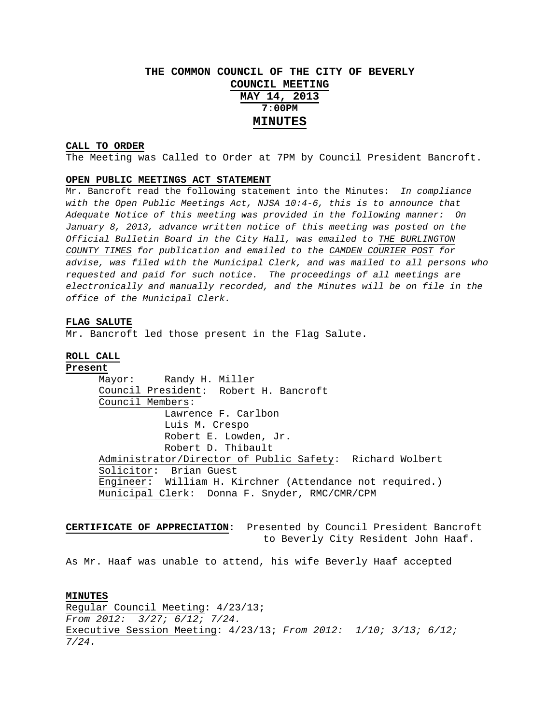# **THE COMMON COUNCIL OF THE CITY OF BEVERLY COUNCIL MEETING MAY 14, 2013 7:00PM MINUTES**

## **CALL TO ORDER**

The Meeting was Called to Order at 7PM by Council President Bancroft.

## **OPEN PUBLIC MEETINGS ACT STATEMENT**

Mr. Bancroft read the following statement into the Minutes: *In compliance with the Open Public Meetings Act, NJSA 10:4-6, this is to announce that Adequate Notice of this meeting was provided in the following manner: On January 8, 2013, advance written notice of this meeting was posted on the Official Bulletin Board in the City Hall, was emailed to THE BURLINGTON COUNTY TIMES for publication and emailed to the CAMDEN COURIER POST for advise, was filed with the Municipal Clerk, and was mailed to all persons who requested and paid for such notice. The proceedings of all meetings are electronically and manually recorded, and the Minutes will be on file in the office of the Municipal Clerk.* 

#### **FLAG SALUTE**

Mr. Bancroft led those present in the Flag Salute.

## **ROLL CALL**

**Present**

 Mayor: Randy H. Miller Council President: Robert H. Bancroft Council Members: Lawrence F. Carlbon Luis M. Crespo Robert E. Lowden, Jr. Robert D. Thibault Administrator/Director of Public Safety: Richard Wolbert Solicitor: Brian Guest Engineer: William H. Kirchner (Attendance not required.) Municipal Clerk: Donna F. Snyder, RMC/CMR/CPM

**CERTIFICATE OF APPRECIATION:** Presented by Council President Bancroft to Beverly City Resident John Haaf.

As Mr. Haaf was unable to attend, his wife Beverly Haaf accepted

#### **MINUTES**

Regular Council Meeting: 4/23/13; *From 2012: 3/27; 6/12; 7/24.*  Executive Session Meeting: 4/23/13; *From 2012: 1/10; 3/13; 6/12; 7/24.*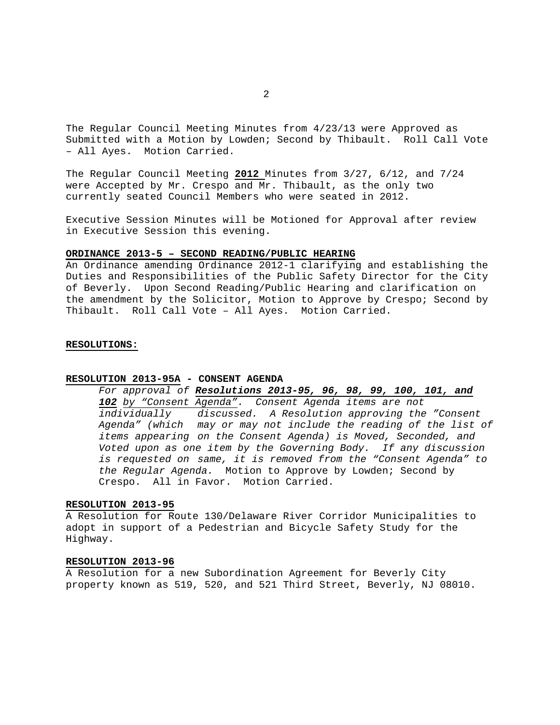The Regular Council Meeting Minutes from 4/23/13 were Approved as Submitted with a Motion by Lowden; Second by Thibault. Roll Call Vote – All Ayes. Motion Carried.

The Regular Council Meeting **2012** Minutes from 3/27, 6/12, and 7/24 were Accepted by Mr. Crespo and Mr. Thibault, as the only two currently seated Council Members who were seated in 2012.

Executive Session Minutes will be Motioned for Approval after review in Executive Session this evening.

#### **ORDINANCE 2013-5 – SECOND READING/PUBLIC HEARING**

An Ordinance amending Ordinance 2012-1 clarifying and establishing the Duties and Responsibilities of the Public Safety Director for the City of Beverly. Upon Second Reading/Public Hearing and clarification on the amendment by the Solicitor, Motion to Approve by Crespo; Second by Thibault. Roll Call Vote – All Ayes. Motion Carried.

#### **RESOLUTIONS:**

#### **RESOLUTION 2013-95A - CONSENT AGENDA**

# *For approval of Resolutions 2013-95, 96, 98, 99, 100, 101, and*

*102 by "Consent Agenda". Consent Agenda items are not individually discussed. A Resolution approving the "Consent Agenda" (which may or may not include the reading of the list of items appearing on the Consent Agenda) is Moved, Seconded, and Voted upon as one item by the Governing Body. If any discussion is requested on same, it is removed from the "Consent Agenda" to the Regular Agenda.* Motion to Approve by Lowden; Second by Crespo. All in Favor. Motion Carried.

#### **RESOLUTION 2013-95**

A Resolution for Route 130/Delaware River Corridor Municipalities to adopt in support of a Pedestrian and Bicycle Safety Study for the Highway.

# **RESOLUTION 2013-96**

A Resolution for a new Subordination Agreement for Beverly City property known as 519, 520, and 521 Third Street, Beverly, NJ 08010.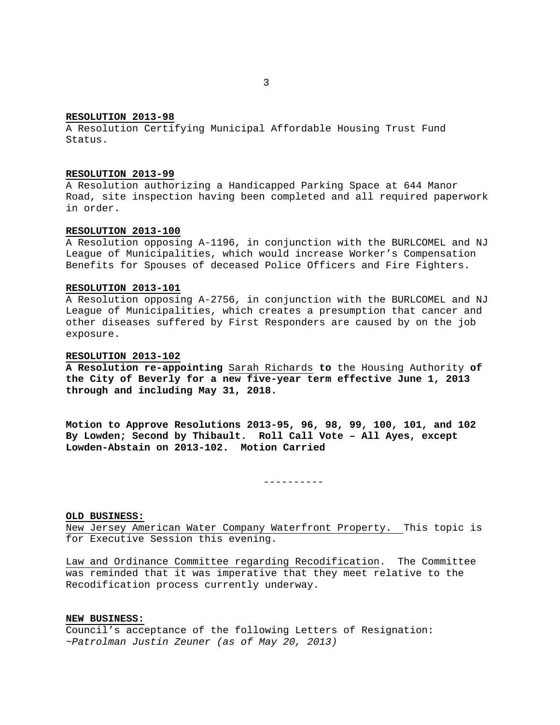#### **RESOLUTION 2013-98**

A Resolution Certifying Municipal Affordable Housing Trust Fund Status.

## **RESOLUTION 2013-99**

A Resolution authorizing a Handicapped Parking Space at 644 Manor Road, site inspection having been completed and all required paperwork in order.

#### **RESOLUTION 2013-100**

A Resolution opposing A-1196, in conjunction with the BURLCOMEL and NJ League of Municipalities, which would increase Worker's Compensation Benefits for Spouses of deceased Police Officers and Fire Fighters.

## **RESOLUTION 2013-101**

A Resolution opposing A-2756, in conjunction with the BURLCOMEL and NJ League of Municipalities, which creates a presumption that cancer and other diseases suffered by First Responders are caused by on the job exposure.

## **RESOLUTION 2013-102**

**A Resolution re-appointing** Sarah Richards **to** the Housing Authority **of the City of Beverly for a new five-year term effective June 1, 2013 through and including May 31, 2018.** 

**Motion to Approve Resolutions 2013-95, 96, 98, 99, 100, 101, and 102 By Lowden; Second by Thibault. Roll Call Vote – All Ayes, except Lowden-Abstain on 2013-102. Motion Carried** 

----------

#### **OLD BUSINESS:**

New Jersey American Water Company Waterfront Property. This topic is for Executive Session this evening.

Law and Ordinance Committee regarding Recodification. The Committee was reminded that it was imperative that they meet relative to the Recodification process currently underway.

### **NEW BUSINESS:**

Council's acceptance of the following Letters of Resignation: *~Patrolman Justin Zeuner (as of May 20, 2013)*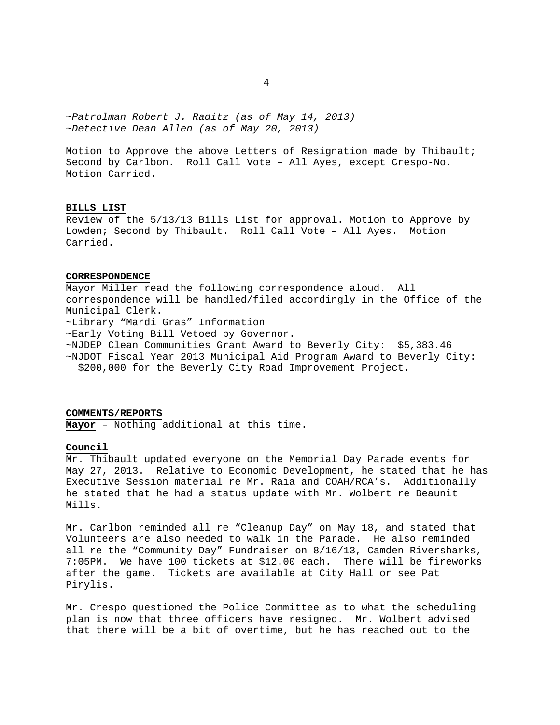*~Patrolman Robert J. Raditz (as of May 14, 2013) ~Detective Dean Allen (as of May 20, 2013)*

Motion to Approve the above Letters of Resignation made by Thibault; Second by Carlbon. Roll Call Vote – All Ayes, except Crespo-No. Motion Carried.

## **BILLS LIST**

Review of the 5/13/13 Bills List for approval. Motion to Approve by Lowden; Second by Thibault. Roll Call Vote – All Ayes. Motion Carried.

# **CORRESPONDENCE**

Mayor Miller read the following correspondence aloud. All correspondence will be handled/filed accordingly in the Office of the Municipal Clerk. ~Library "Mardi Gras" Information ~Early Voting Bill Vetoed by Governor. ~NJDEP Clean Communities Grant Award to Beverly City: \$5,383.46 ~NJDOT Fiscal Year 2013 Municipal Aid Program Award to Beverly City: \$200,000 for the Beverly City Road Improvement Project.

## **COMMENTS/REPORTS**

**Mayor** – Nothing additional at this time.

# **Council**

Mr. Thibault updated everyone on the Memorial Day Parade events for May 27, 2013. Relative to Economic Development, he stated that he has Executive Session material re Mr. Raia and COAH/RCA's. Additionally he stated that he had a status update with Mr. Wolbert re Beaunit Mills.

Mr. Carlbon reminded all re "Cleanup Day" on May 18, and stated that Volunteers are also needed to walk in the Parade. He also reminded all re the "Community Day" Fundraiser on 8/16/13, Camden Riversharks, 7:05PM. We have 100 tickets at \$12.00 each. There will be fireworks after the game. Tickets are available at City Hall or see Pat Pirylis.

Mr. Crespo questioned the Police Committee as to what the scheduling plan is now that three officers have resigned. Mr. Wolbert advised that there will be a bit of overtime, but he has reached out to the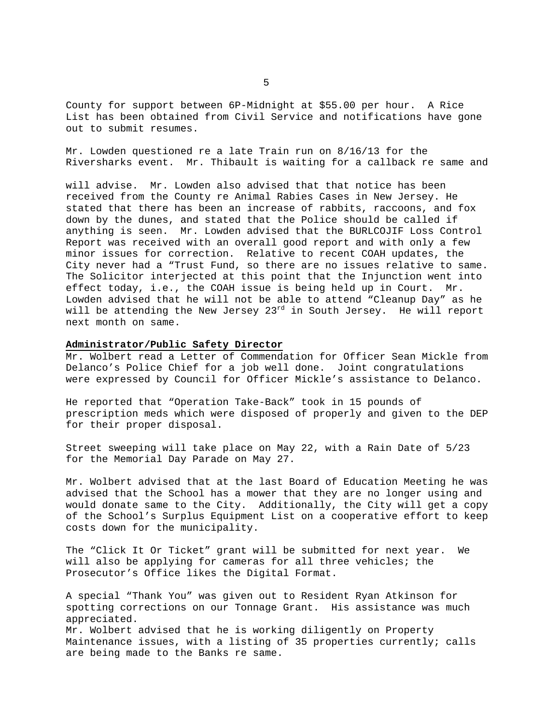County for support between 6P-Midnight at \$55.00 per hour. A Rice List has been obtained from Civil Service and notifications have gone out to submit resumes.

Mr. Lowden questioned re a late Train run on 8/16/13 for the Riversharks event. Mr. Thibault is waiting for a callback re same and

will advise. Mr. Lowden also advised that that notice has been received from the County re Animal Rabies Cases in New Jersey. He stated that there has been an increase of rabbits, raccoons, and fox down by the dunes, and stated that the Police should be called if anything is seen. Mr. Lowden advised that the BURLCOJIF Loss Control Report was received with an overall good report and with only a few minor issues for correction. Relative to recent COAH updates, the City never had a "Trust Fund, so there are no issues relative to same. The Solicitor interjected at this point that the Injunction went into effect today, i.e., the COAH issue is being held up in Court. Mr. Lowden advised that he will not be able to attend "Cleanup Day" as he will be attending the New Jersey  $23^{rd}$  in South Jersey. He will report next month on same.

#### **Administrator/Public Safety Director**

Mr. Wolbert read a Letter of Commendation for Officer Sean Mickle from Delanco's Police Chief for a job well done. Joint congratulations were expressed by Council for Officer Mickle's assistance to Delanco.

He reported that "Operation Take-Back" took in 15 pounds of prescription meds which were disposed of properly and given to the DEP for their proper disposal.

Street sweeping will take place on May 22, with a Rain Date of 5/23 for the Memorial Day Parade on May 27.

Mr. Wolbert advised that at the last Board of Education Meeting he was advised that the School has a mower that they are no longer using and would donate same to the City. Additionally, the City will get a copy of the School's Surplus Equipment List on a cooperative effort to keep costs down for the municipality.

The "Click It Or Ticket" grant will be submitted for next year. We will also be applying for cameras for all three vehicles; the Prosecutor's Office likes the Digital Format.

A special "Thank You" was given out to Resident Ryan Atkinson for spotting corrections on our Tonnage Grant. His assistance was much appreciated. Mr. Wolbert advised that he is working diligently on Property Maintenance issues, with a listing of 35 properties currently; calls are being made to the Banks re same.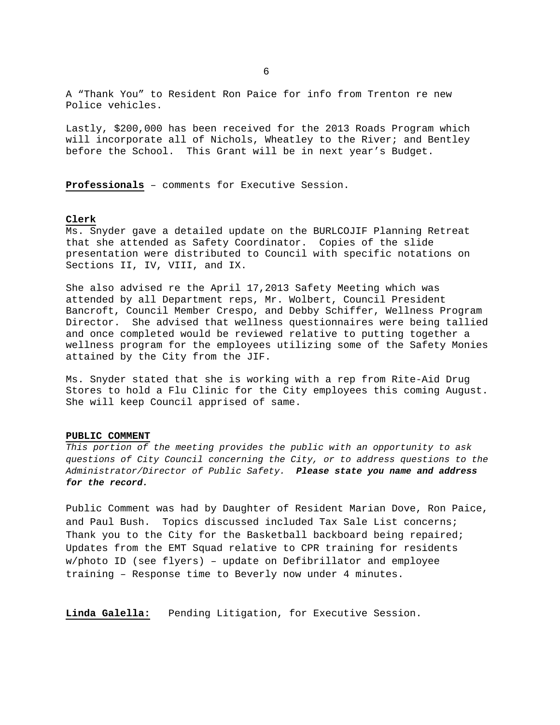A "Thank You" to Resident Ron Paice for info from Trenton re new Police vehicles.

Lastly, \$200,000 has been received for the 2013 Roads Program which will incorporate all of Nichols, Wheatley to the River; and Bentley before the School. This Grant will be in next year's Budget.

**Professionals** – comments for Executive Session.

# **Clerk**

Ms. Snyder gave a detailed update on the BURLCOJIF Planning Retreat that she attended as Safety Coordinator. Copies of the slide presentation were distributed to Council with specific notations on Sections II, IV, VIII, and IX.

She also advised re the April 17,2013 Safety Meeting which was attended by all Department reps, Mr. Wolbert, Council President Bancroft, Council Member Crespo, and Debby Schiffer, Wellness Program Director. She advised that wellness questionnaires were being tallied and once completed would be reviewed relative to putting together a wellness program for the employees utilizing some of the Safety Monies attained by the City from the JIF.

Ms. Snyder stated that she is working with a rep from Rite-Aid Drug Stores to hold a Flu Clinic for the City employees this coming August. She will keep Council apprised of same.

#### **PUBLIC COMMENT**

*This portion of the meeting provides the public with an opportunity to ask questions of City Council concerning the City, or to address questions to the Administrator/Director of Public Safety. Please state you name and address for the record.* 

Public Comment was had by Daughter of Resident Marian Dove, Ron Paice, and Paul Bush. Topics discussed included Tax Sale List concerns; Thank you to the City for the Basketball backboard being repaired; Updates from the EMT Squad relative to CPR training for residents w/photo ID (see flyers) – update on Defibrillator and employee training – Response time to Beverly now under 4 minutes.

**Linda Galella:** Pending Litigation, for Executive Session.